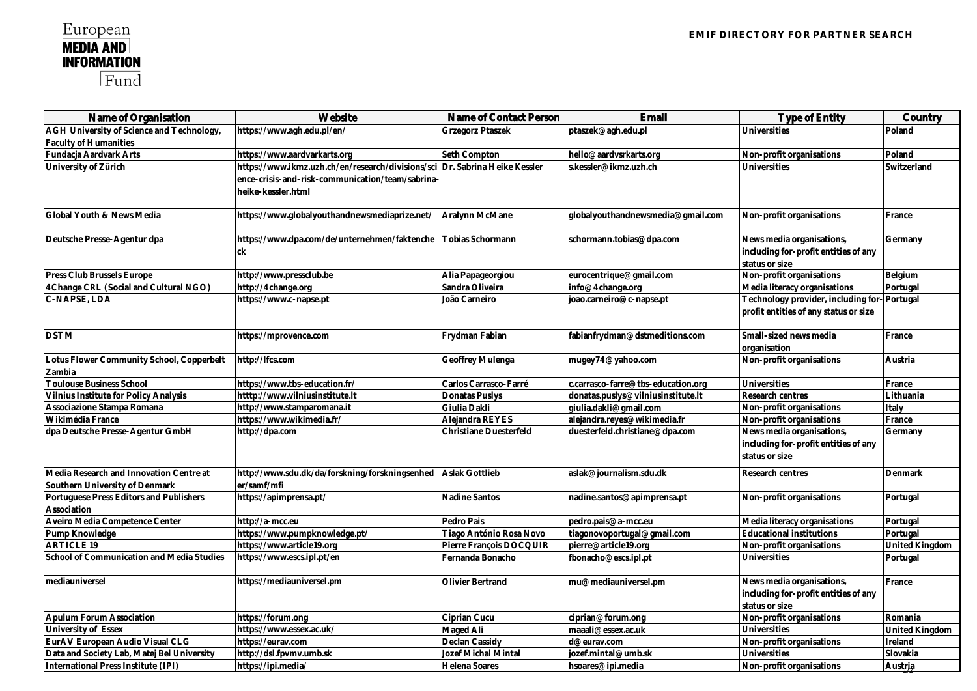| Name of Organisation                       | Website                                           | Name of Contact Person    | Email                              | Type of Entity                        | Country        |
|--------------------------------------------|---------------------------------------------------|---------------------------|------------------------------------|---------------------------------------|----------------|
| AGH University of Science and Technology,  | https://www.agh.edu.pl/en/                        | Grzegorz Ptaszek          | ptaszek@agh.edu.pl                 | Universities                          | Poland         |
| <b>Faculty of Humanities</b>               |                                                   |                           |                                    |                                       |                |
| Fundacja Aardvark Arts                     | https://www.aardvarkarts.org                      | Seth Compton              | hello@aardvsrkarts.org             | Non-profit organisations              | Poland         |
| University of Zürich                       | https://www.ikmz.uzh.ch/en/research/divisions/sci | Dr. Sabrina Heike Kessler | s.kessler@ikmz.uzh.ch              | Universities                          | Switzerland    |
|                                            | ence-crisis-and-risk-communication/team/sabrina-  |                           |                                    |                                       |                |
|                                            | heike-kessler.html                                |                           |                                    |                                       |                |
| Global Youth & News Media                  | https://www.globalyouthandnewsmediaprize.net/     | Aralynn McMane            | globalyouthandnewsmedia@gmail.com  | Non-profit organisations              | France         |
| Deutsche Presse-Agentur dpa                | https://www.dpa.com/de/unternehmen/faktenche      | Tobias Schormann          | schormann.tobias@dpa.com           | News media organisations,             | Germany        |
|                                            | ck                                                |                           |                                    | including for-profit entities of any  |                |
|                                            |                                                   |                           |                                    | status or size                        |                |
| Press Club Brussels Europe                 | http://www.pressclub.be                           | Alia Papageorgiou         | eurocentrique@gmail.com            | Non-profit organisations              | Belgium        |
| 4Change CRL (Social and Cultural NGO)      | http://4change.org                                | Sandra Oliveira           | info@4change.org                   | Media literacy organisations          | Portugal       |
| C-NAPSE, LDA                               | https://www.c-napse.pt                            | João Carneiro             | joao.carneiro@c-napse.pt           | Technology provider, including for    | Portugal       |
|                                            |                                                   |                           |                                    | profit entities of any status or size |                |
| <b>DSTM</b>                                | https://mprovence.com                             | Frydman Fabian            | fabianfrydman@dstmeditions.com     | Small-sized news media                | France         |
|                                            |                                                   |                           |                                    | organisation                          |                |
| Lotus Flower Community School, Copperbelt  | http://lfcs.com                                   | Geoffrey Mulenga          | mugey74@yahoo.com                  | Non-profit organisations              | Austria        |
| Zambia                                     |                                                   |                           |                                    |                                       |                |
| <b>Toulouse Business School</b>            | https://www.tbs-education.fr/                     | Carlos Carrasco-Farré     | c.carrasco-farre@tbs-education.org | Universities                          | France         |
| Vilnius Institute for Policy Analysis      | htttp://www.vilniusinstitute.lt                   | Donatas Puslys            | donatas.puslys@vilniusinstitute.lt | Research centres                      | Lithuania      |
| Associazione Stampa Romana                 | http://www.stamparomana.it                        | Giulia Dakli              | qiulia.dakli@qmail.com             | Non-profit organisations              | Italy          |
| Wikimédia France                           | https://www.wikimedia.fr/                         | Alejandra REYES           | alejandra.reyes@wikimedia.fr       | Non-profit organisations              | France         |
| dpa Deutsche Presse-Agentur GmbH           | http://dpa.com                                    | Christiane Duesterfeld    | duesterfeld.christiane@dpa.com     | News media organisations,             | Germany        |
|                                            |                                                   |                           |                                    | including for-profit entities of any  |                |
|                                            |                                                   |                           |                                    | status or size                        |                |
| Media Research and Innovation Centre at    | http://www.sdu.dk/da/forskning/forskningsenhed    | Aslak Gottlieb            | aslak@journalism.sdu.dk            | Research centres                      | Denmark        |
| Southern University of Denmark             | er/samf/mfi                                       |                           |                                    |                                       |                |
| Portuguese Press Editors and Publishers    | https://apimprensa.pt/                            | Nadine Santos             | nadine.santos@apimprensa.pt        | Non-profit organisations              | Portugal       |
| Association                                |                                                   |                           |                                    |                                       |                |
| Aveiro Media Competence Center             | http://a-mcc.eu                                   | Pedro Pais                | pedro.pais@a-mcc.eu                | Media literacy organisations          | Portugal       |
| Pump Knowledge                             | https://www.pumpknowledge.pt/                     | Tiago António Rosa Novo   | tiagonovoportugal@gmail.com        | <b>Educational institutions</b>       | Portugal       |
| <b>ARTICLE 19</b>                          | https://www.article19.org                         | Pierre François DOCQUIR   | pierre@article19.org               | Non-profit organisations              | United Kingdom |
| School of Communication and Media Studies  | https://www.escs.ipl.pt/en                        | Fernanda Bonacho          | fbonacho@escs.ipl.pt               | Universities                          | Portugal       |
| mediauniversel                             | https://mediauniversel.pm                         | Olivier Bertrand          | mu@mediauniversel.pm               | News media organisations,             | France         |
|                                            |                                                   |                           |                                    | including for-profit entities of any  |                |
|                                            |                                                   |                           |                                    | status or size                        |                |
| Apulum Forum Association                   | https://forum.ong                                 | Ciprian Cucu              | ciprian@forum.ong                  | Non-profit organisations              | Romania        |
| University of Essex                        | https://www.essex.ac.uk/                          | Maged Ali                 | maaali@essex.ac.uk                 | Universities                          | United Kingdom |
| EurAV European Audio Visual CLG            | https://eurav.com                                 | Declan Cassidy            | d@eurav.com                        | Non-profit organisations              | Ireland        |
| Data and Society Lab, Matej Bel University | http://dsl.fpvmv.umb.sk                           | Jozef Michal Mintal       | jozef.mintal@umb.sk                | Universities                          | Slovakia       |
| International Press Institute (IPI)        | https://ipi.media/                                | Helena Soares             | hsoares@ipi.media                  | Non-profit organisations              | Austria        |